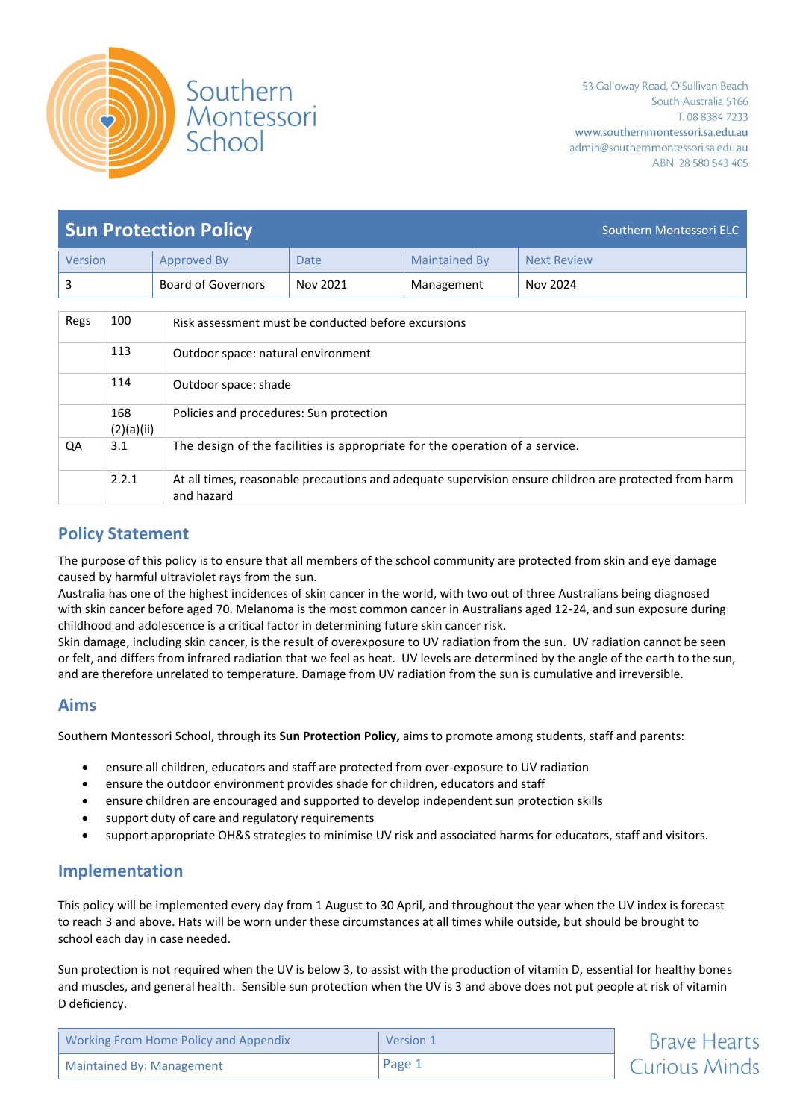

| <b>Sun Protection Policy</b><br>Southern Montessori ELC      |                                                                                    |                                                                                                                     |                      |                      |                    |  |  |
|--------------------------------------------------------------|------------------------------------------------------------------------------------|---------------------------------------------------------------------------------------------------------------------|----------------------|----------------------|--------------------|--|--|
| Version                                                      |                                                                                    | <b>Approved By</b>                                                                                                  | <b>Date</b>          | <b>Maintained By</b> | <b>Next Review</b> |  |  |
| 3                                                            |                                                                                    | <b>Board of Governors</b>                                                                                           | Nov 2021             | Management           | Nov 2024           |  |  |
|                                                              |                                                                                    |                                                                                                                     |                      |                      |                    |  |  |
| Regs                                                         | 100                                                                                | Risk assessment must be conducted before excursions                                                                 |                      |                      |                    |  |  |
| 113                                                          |                                                                                    | Outdoor space: natural environment                                                                                  |                      |                      |                    |  |  |
| 114                                                          |                                                                                    |                                                                                                                     | Outdoor space: shade |                      |                    |  |  |
| 168<br>Policies and procedures: Sun protection<br>(2)(a)(ii) |                                                                                    |                                                                                                                     |                      |                      |                    |  |  |
| QA                                                           | 3.1<br>The design of the facilities is appropriate for the operation of a service. |                                                                                                                     |                      |                      |                    |  |  |
|                                                              | 2.2.1                                                                              | At all times, reasonable precautions and adequate supervision ensure children are protected from harm<br>and hazard |                      |                      |                    |  |  |

# **Policy Statement**

The purpose of this policy is to ensure that all members of the school community are protected from skin and eye damage caused by harmful ultraviolet rays from the sun.

Australia has one of the highest incidences of skin cancer in the world, with two out of three Australians being diagnosed with skin cancer before aged 70. Melanoma is the most common cancer in Australians aged 12-24, and sun exposure during childhood and adolescence is a critical factor in determining future skin cancer risk.

Skin damage, including skin cancer, is the result of overexposure to UV radiation from the sun. UV radiation cannot be seen or felt, and differs from infrared radiation that we feel as heat. UV levels are determined by the angle of the earth to the sun, and are therefore unrelated to temperature. Damage from UV radiation from the sun is cumulative and irreversible.

# **Aims**

Southern Montessori School, through its **Sun Protection Policy,** aims to promote among students, staff and parents:

- ensure all children, educators and staff are protected from over-exposure to UV radiation
- ensure the outdoor environment provides shade for children, educators and staff
- ensure children are encouraged and supported to develop independent sun protection skills
- support duty of care and regulatory requirements
- support appropriate OH&S strategies to minimise UV risk and associated harms for educators, staff and visitors.

# **Implementation**

This policy will be implemented every day from 1 August to 30 April, and throughout the year when the UV index is forecast to reach 3 and above. Hats will be worn under these circumstances at all times while outside, but should be brought to school each day in case needed.

Sun protection is not required when the UV is below 3, to assist with the production of vitamin D, essential for healthy bones and muscles, and general health. Sensible sun protection when the UV is 3 and above does not put people at risk of vitamin D deficiency.

| Working From Home Policy and Appendix | Version 1 | <b>Brave Hearts</b>  |
|---------------------------------------|-----------|----------------------|
| Maintained By: Management             | Page 1    | <b>Curious Minds</b> |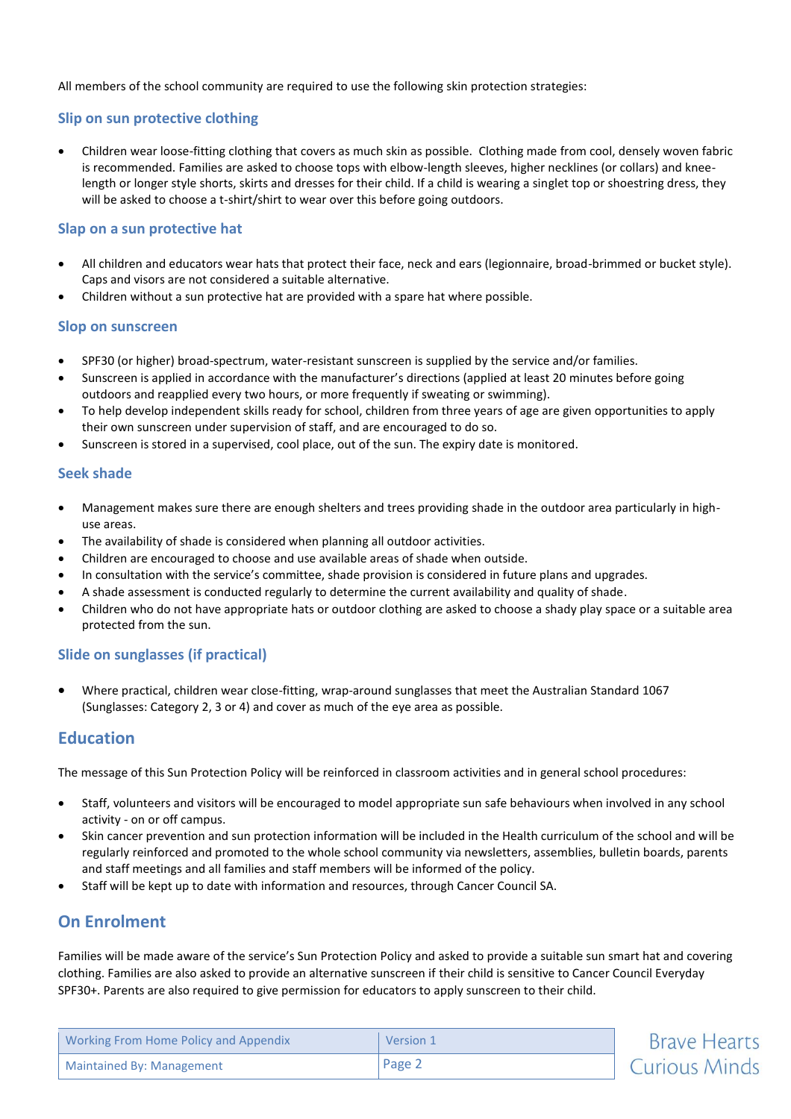All members of the school community are required to use the following skin protection strategies:

### **Slip on sun protective clothing**

 Children wear loose-fitting clothing that covers as much skin as possible. Clothing made from cool, densely woven fabric is recommended. Families are asked to choose tops with elbow-length sleeves, higher necklines (or collars) and kneelength or longer style shorts, skirts and dresses for their child. If a child is wearing a singlet top or shoestring dress, they will be asked to choose a t-shirt/shirt to wear over this before going outdoors.

### **Slap on a sun protective hat**

- All children and educators wear hats that protect their face, neck and ears (legionnaire, broad-brimmed or bucket style). Caps and visors are not considered a suitable alternative.
- Children without a sun protective hat are provided with a spare hat where possible.

#### **Slop on sunscreen**

- SPF30 (or higher) broad-spectrum, water-resistant sunscreen is supplied by the service and/or families.
- Sunscreen is applied in accordance with the manufacturer's directions (applied at least 20 minutes before going outdoors and reapplied every two hours, or more frequently if sweating or swimming).
- To help develop independent skills ready for school, children from three years of age are given opportunities to apply their own sunscreen under supervision of staff, and are encouraged to do so.
- Sunscreen is stored in a supervised, cool place, out of the sun. The expiry date is monitored.

### **Seek shade**

- Management makes sure there are enough shelters and trees providing shade in the outdoor area particularly in highuse areas.
- The availability of shade is considered when planning all outdoor activities.
- Children are encouraged to choose and use available areas of shade when outside.
- In consultation with the service's committee, shade provision is considered in future plans and upgrades.
- A shade assessment is conducted regularly to determine the current availability and quality of shade.
- Children who do not have appropriate hats or outdoor clothing are asked to choose a shady play space or a suitable area protected from the sun.

## **Slide on sunglasses (if practical)**

 Where practical, children wear close-fitting, wrap-around sunglasses that meet the Australian Standard 1067 (Sunglasses: Category 2, 3 or 4) and cover as much of the eye area as possible.

# **Education**

The message of this Sun Protection Policy will be reinforced in classroom activities and in general school procedures:

- Staff, volunteers and visitors will be encouraged to model appropriate sun safe behaviours when involved in any school activity - on or off campus.
- Skin cancer prevention and sun protection information will be included in the Health curriculum of the school and will be regularly reinforced and promoted to the whole school community via newsletters, assemblies, bulletin boards, parents and staff meetings and all families and staff members will be informed of the policy.
- Staff will be kept up to date with information and resources, through Cancer Council SA.

# **On Enrolment**

Families will be made aware of the service's Sun Protection Policy and asked to provide a suitable sun smart hat and covering clothing. Families are also asked to provide an alternative sunscreen if their child is sensitive to Cancer Council Everyday SPF30+. Parents are also required to give permission for educators to apply sunscreen to their child.

| <b>Working From Home Policy and Appendix</b> | Version 1 | <b>Brave Hearts</b>  |
|----------------------------------------------|-----------|----------------------|
| <b>Maintained By: Management</b>             | Page 2    | <b>Curious Minds</b> |